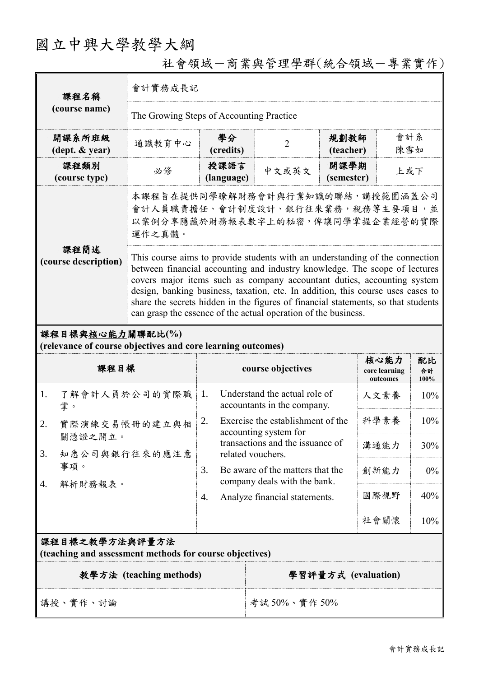## 國立中興大學教學大綱

| 課程名稱<br>(course name)                                                           | 會計實務成長記                                                                                                                                                                                                                                                                                                                                                                                                                                                                         |                                                                  |                                                               |                           |                                   |                     |  |
|---------------------------------------------------------------------------------|---------------------------------------------------------------------------------------------------------------------------------------------------------------------------------------------------------------------------------------------------------------------------------------------------------------------------------------------------------------------------------------------------------------------------------------------------------------------------------|------------------------------------------------------------------|---------------------------------------------------------------|---------------------------|-----------------------------------|---------------------|--|
|                                                                                 | The Growing Steps of Accounting Practice                                                                                                                                                                                                                                                                                                                                                                                                                                        |                                                                  |                                                               |                           |                                   |                     |  |
| 開課系所班級<br>$(\text{dept.} \& \text{ year})$                                      | 通識教育中心                                                                                                                                                                                                                                                                                                                                                                                                                                                                          | 學分<br>(credits)                                                  | $\overline{2}$                                                | 規劃教師<br>(teacher)         |                                   | 會計系<br>陳雪如          |  |
| 課程類別<br>(course type)                                                           | 必修                                                                                                                                                                                                                                                                                                                                                                                                                                                                              | 授課語言<br>(language)                                               | 中文或英文                                                         | 開課學期<br>上或下<br>(semester) |                                   |                     |  |
| 課程簡述<br>(course description)                                                    | 本課程旨在提供同學瞭解財務會計與行業知識的聯結,講授範圍涵蓋公司<br>會計人員職責擔任、會計制度設計、銀行往來業務,稅務等主要項目,並<br>以案例分享隱藏於財務報表數字上的秘密,俾讓同學掌握企業經營的實際<br>運作之真髓。                                                                                                                                                                                                                                                                                                                                                              |                                                                  |                                                               |                           |                                   |                     |  |
|                                                                                 | This course aims to provide students with an understanding of the connection<br>between financial accounting and industry knowledge. The scope of lectures<br>covers major items such as company accountant duties, accounting system<br>design, banking business, taxation, etc. In addition, this course uses cases to<br>share the secrets hidden in the figures of financial statements, so that students<br>can grasp the essence of the actual operation of the business. |                                                                  |                                                               |                           |                                   |                     |  |
| 課程目標與核心能力關聯配比(%)<br>(relevance of course objectives and core learning outcomes) |                                                                                                                                                                                                                                                                                                                                                                                                                                                                                 |                                                                  |                                                               |                           |                                   |                     |  |
| 課程目標                                                                            |                                                                                                                                                                                                                                                                                                                                                                                                                                                                                 |                                                                  | course objectives                                             |                           | 核心能力<br>core learning<br>outcomes | 配比<br>合計<br>$100\%$ |  |
| 了解會計人員於公司的實際職<br>1.<br>掌。                                                       |                                                                                                                                                                                                                                                                                                                                                                                                                                                                                 | 1.                                                               | Understand the actual role of<br>accountants in the company.  |                           | 人文素養                              | 10%                 |  |
| 實際演練交易帳冊的建立與相<br>2.<br>關憑證之開立。                                                  |                                                                                                                                                                                                                                                                                                                                                                                                                                                                                 | Exercise the establishment of the<br>2.<br>accounting system for |                                                               |                           |                                   |                     |  |
|                                                                                 |                                                                                                                                                                                                                                                                                                                                                                                                                                                                                 |                                                                  |                                                               |                           | 科學素養                              | 10%                 |  |
| 知悉公司與銀行往來的應注意<br>3.                                                             |                                                                                                                                                                                                                                                                                                                                                                                                                                                                                 |                                                                  | transactions and the issuance of<br>related vouchers.         |                           | 溝通能力                              | 30%                 |  |
| 事項。                                                                             |                                                                                                                                                                                                                                                                                                                                                                                                                                                                                 | 3.                                                               | Be aware of the matters that the                              |                           | 創新能力                              | $0\%$               |  |
| 解析財務報表。<br>4.                                                                   |                                                                                                                                                                                                                                                                                                                                                                                                                                                                                 | 4.                                                               | company deals with the bank.<br>Analyze financial statements. |                           | 國際視野                              | 40%                 |  |
|                                                                                 |                                                                                                                                                                                                                                                                                                                                                                                                                                                                                 |                                                                  |                                                               |                           | 社會關懷                              | 10%                 |  |
| 課程目標之教學方法與評量方法<br>(teaching and assessment methods for course objectives)       |                                                                                                                                                                                                                                                                                                                                                                                                                                                                                 |                                                                  |                                                               |                           |                                   |                     |  |
|                                                                                 | 教學方法 (teaching methods)                                                                                                                                                                                                                                                                                                                                                                                                                                                         |                                                                  |                                                               |                           | 學習評量方式 (evaluation)               |                     |  |